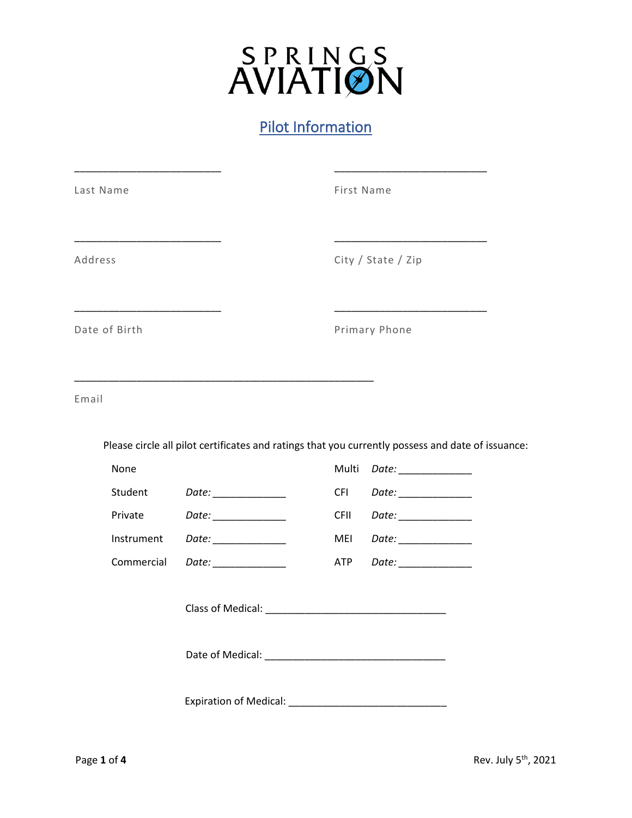# SPRINGS<br>AVIATION

### Pilot Information

| Last Name                |                                                                                                                       | First Name                                                                                                                                  |                                                                                                   |  |
|--------------------------|-----------------------------------------------------------------------------------------------------------------------|---------------------------------------------------------------------------------------------------------------------------------------------|---------------------------------------------------------------------------------------------------|--|
| Address<br>Date of Birth |                                                                                                                       | <u> 1999 - Johann Stein, mars and de Branch and de Branch and de Branch and de Branch and de Branch and de Branch</u><br>City / State / Zip |                                                                                                   |  |
|                          |                                                                                                                       | Primary Phone                                                                                                                               |                                                                                                   |  |
| Email                    | <u> 1989 - Johann John Stoff, deutscher Stoffen und der Stoffen und der Stoffen und der Stoffen und der Stoffen u</u> |                                                                                                                                             |                                                                                                   |  |
|                          |                                                                                                                       |                                                                                                                                             | Please circle all pilot certificates and ratings that you currently possess and date of issuance: |  |
| None                     |                                                                                                                       | Multi                                                                                                                                       | Date: ______________                                                                              |  |
| Student                  | Date: _______________                                                                                                 | <b>CFI</b>                                                                                                                                  | Date: ______________                                                                              |  |
| Private                  | Date: ______________                                                                                                  | <b>CFII</b>                                                                                                                                 | Date: _____________                                                                               |  |
| Instrument<br>Commercial |                                                                                                                       | MEI<br>ATP                                                                                                                                  | Date: _______________                                                                             |  |
|                          |                                                                                                                       |                                                                                                                                             |                                                                                                   |  |
|                          |                                                                                                                       |                                                                                                                                             |                                                                                                   |  |
|                          |                                                                                                                       |                                                                                                                                             |                                                                                                   |  |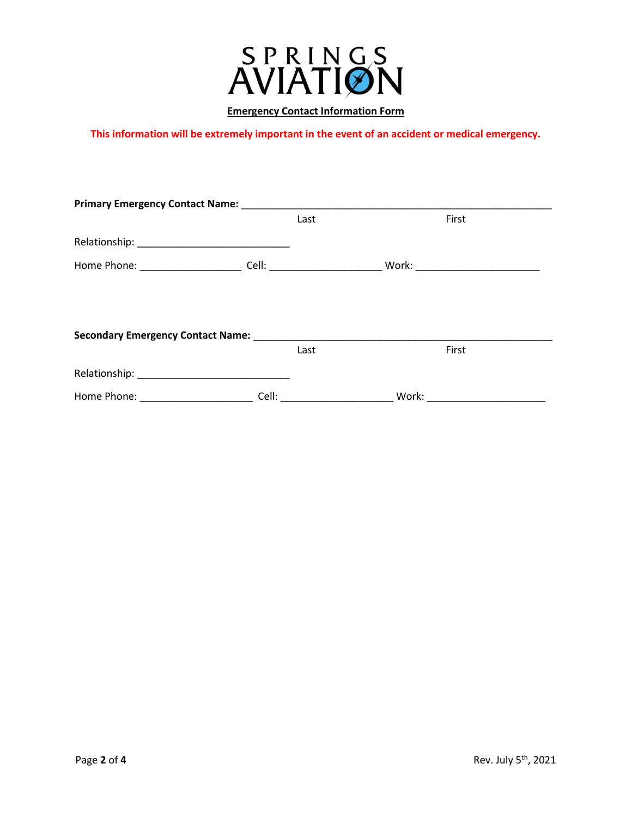

#### **Emergency Contact Information Form**

**This information will be extremely important in the event of an accident or medical emergency.**

|  | Last |                                                                                                                                                                                                                                                                                                                                                                                                                                           | First                             |  |  |  |  |
|--|------|-------------------------------------------------------------------------------------------------------------------------------------------------------------------------------------------------------------------------------------------------------------------------------------------------------------------------------------------------------------------------------------------------------------------------------------------|-----------------------------------|--|--|--|--|
|  |      |                                                                                                                                                                                                                                                                                                                                                                                                                                           |                                   |  |  |  |  |
|  |      |                                                                                                                                                                                                                                                                                                                                                                                                                                           | Work: ___________________________ |  |  |  |  |
|  |      |                                                                                                                                                                                                                                                                                                                                                                                                                                           |                                   |  |  |  |  |
|  |      |                                                                                                                                                                                                                                                                                                                                                                                                                                           |                                   |  |  |  |  |
|  |      |                                                                                                                                                                                                                                                                                                                                                                                                                                           |                                   |  |  |  |  |
|  | Last |                                                                                                                                                                                                                                                                                                                                                                                                                                           | First                             |  |  |  |  |
|  |      |                                                                                                                                                                                                                                                                                                                                                                                                                                           |                                   |  |  |  |  |
|  |      |                                                                                                                                                                                                                                                                                                                                                                                                                                           |                                   |  |  |  |  |
|  |      | <b>Primary Emergency Contact Name:</b><br>Cell: <b>Cell</b> : <b>Cell</b> : <b>Cell</b> : <b>Cell</b> : <b>Cell</b> : <b>Cell</b> : <b>Cell</b> : <b>Cell</b> : <b>Cell</b> : <b>Cell</b> : <b>Cell</b> : <b>Cell</b> : <b>Cell</b> : <b>Cell</b> : <b>Cell</b> : <b>Cell</b> : <b>Cell</b> : <b>Cell</b> : <b>Cell</b> : <b>Cell</b> : <b>Cell</b> : <b>Cell</b> : <b>Cell</b> : <b>Cell</b> : <b>Cell</b> : <b>Cell</b> : <b>Cell</b> : | Cell: ________________________    |  |  |  |  |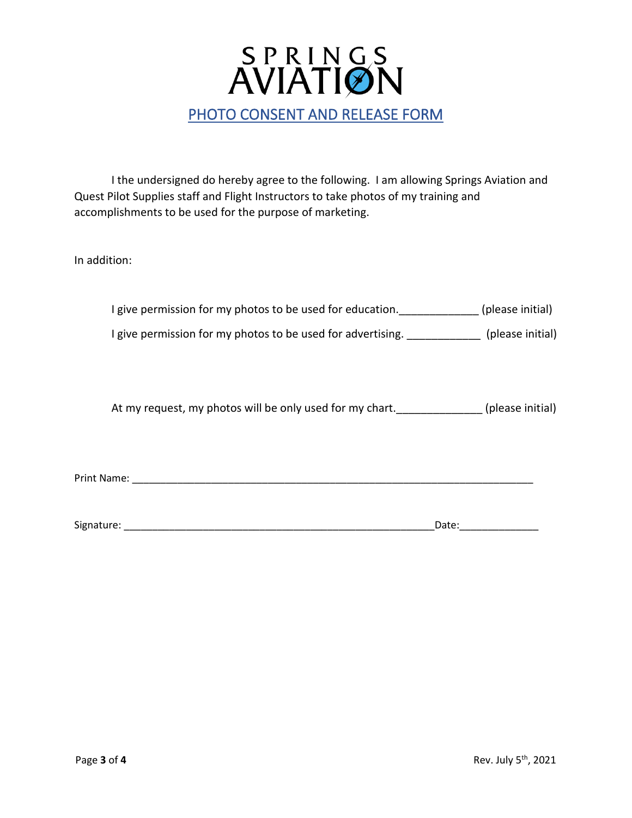

I the undersigned do hereby agree to the following. I am allowing Springs Aviation and Quest Pilot Supplies staff and Flight Instructors to take photos of my training and accomplishments to be used for the purpose of marketing.

In addition:

| I give permission for my photos to be used for education.                                                           |       | (please initial) |
|---------------------------------------------------------------------------------------------------------------------|-------|------------------|
| I give permission for my photos to be used for advertising. [19] [19] (please initial)                              |       |                  |
|                                                                                                                     |       |                  |
| At my request, my photos will be only used for my chart. (please initial)                                           |       |                  |
|                                                                                                                     |       |                  |
|                                                                                                                     |       |                  |
| Signature: The Commission of the Commission of the Commission of the Commission of the Commission of the Commission | Date: |                  |